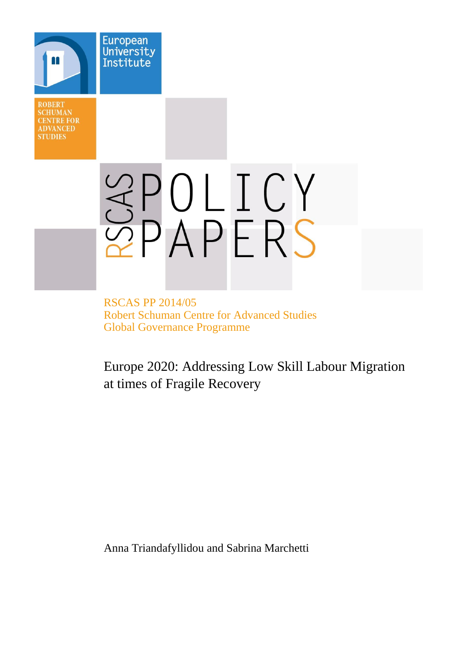**ROBERT SCHUMAN CENTRE FOR ADVANCED STUDIES** 

European University Institute

# SPOLICY

RSCAS PP 2014/05 Robert Schuman Centre for Advanced Studies Global Governance Programme

Europe 2020: Addressing Low Skill Labour Migration at times of Fragile Recovery

Anna Triandafyllidou and Sabrina Marchetti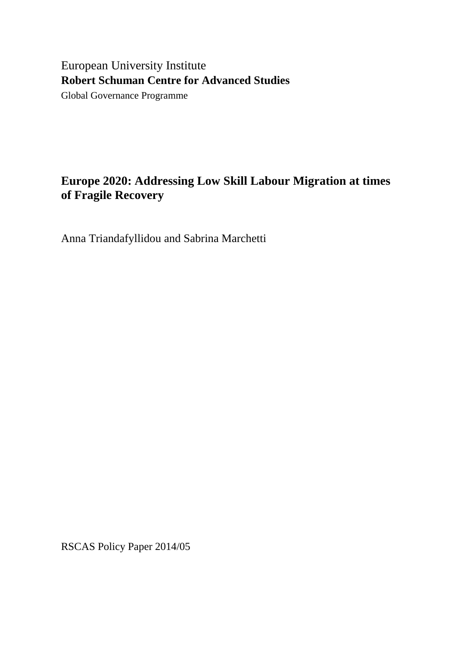# European University Institute **Robert Schuman Centre for Advanced Studies**

Global Governance Programme

# **Europe 2020: Addressing Low Skill Labour Migration at times of Fragile Recovery**

Anna Triandafyllidou and Sabrina Marchetti

RSCAS Policy Paper 2014/05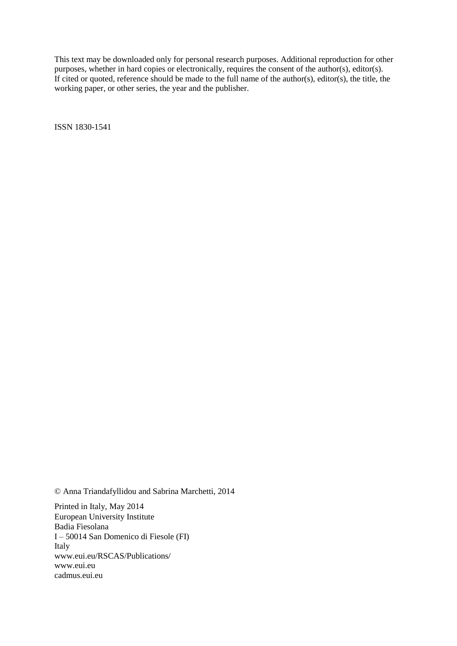This text may be downloaded only for personal research purposes. Additional reproduction for other purposes, whether in hard copies or electronically, requires the consent of the author(s), editor(s). If cited or quoted, reference should be made to the full name of the author(s), editor(s), the title, the working paper, or other series, the year and the publisher.

ISSN 1830-1541

© Anna Triandafyllidou and Sabrina Marchetti, 2014

Printed in Italy, May 2014 European University Institute Badia Fiesolana I – 50014 San Domenico di Fiesole (FI) Italy [www.eui.eu/RSCAS/Publications/](http://www.eui.eu/RSCAS/Publications/) [www.eui.eu](http://www.eui.eu/) [cadmus.eui.eu](http://cadmus.eui.eu/dspace/index.jsp)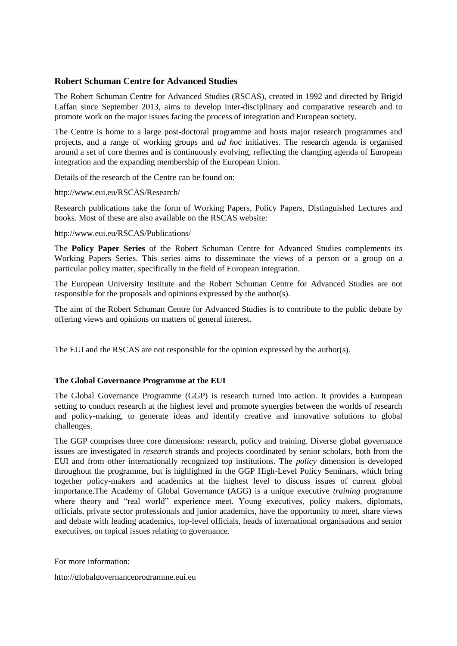# **Robert Schuman Centre for Advanced Studies**

The Robert Schuman Centre for Advanced Studies (RSCAS), created in 1992 and directed by Brigid Laffan since September 2013, aims to develop inter-disciplinary and comparative research and to promote work on the major issues facing the process of integration and European society.

The Centre is home to a large post-doctoral programme and hosts major research programmes and projects, and a range of working groups and *ad hoc* initiatives. The research agenda is organised around a set of core themes and is continuously evolving, reflecting the changing agenda of European integration and the expanding membership of the European Union.

Details of the research of the Centre can be found on:

<http://www.eui.eu/RSCAS/Research/>

Research publications take the form of Working Papers, Policy Papers, Distinguished Lectures and books. Most of these are also available on the RSCAS website:

<http://www.eui.eu/RSCAS/Publications/>

The **Policy Paper Series** of the Robert Schuman Centre for Advanced Studies complements its Working Papers Series. This series aims to disseminate the views of a person or a group on a particular policy matter, specifically in the field of European integration.

The European University Institute and the Robert Schuman Centre for Advanced Studies are not responsible for the proposals and opinions expressed by the author(s).

The aim of the Robert Schuman Centre for Advanced Studies is to contribute to the public debate by offering views and opinions on matters of general interest.

The EUI and the RSCAS are not responsible for the opinion expressed by the author(s).

#### **The Global Governance Programme at the EUI**

The Global Governance Programme (GGP) is research turned into action. It provides a European setting to conduct research at the highest level and promote synergies between the worlds of research and policy-making, to generate ideas and identify creative and innovative solutions to global challenges.

The GGP comprises three core dimensions: research, policy and training. Diverse global governance issues are investigated in *research* strands and projects coordinated by senior scholars, both from the EUI and from other internationally recognized top institutions. The *policy* dimension is developed throughout the programme, but is highlighted in the GGP High-Level Policy Seminars, which bring together policy-makers and academics at the highest level to discuss issues of current global importance.The Academy of Global Governance (AGG) is a unique executive *training* programme where theory and "real world" experience meet. Young executives, policy makers, diplomats, officials, private sector professionals and junior academics, have the opportunity to meet, share views and debate with leading academics, top-level officials, heads of international organisations and senior executives, on topical issues relating to governance.

For more information:

[http://globalgovernanceprogramme.eui.eu](http://globalgovernanceprogramme.eui.eu/)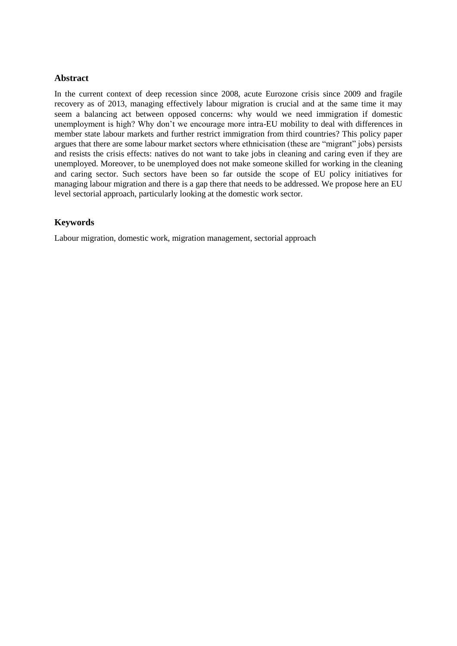#### **Abstract**

In the current context of deep recession since 2008, acute Eurozone crisis since 2009 and fragile recovery as of 2013, managing effectively labour migration is crucial and at the same time it may seem a balancing act between opposed concerns: why would we need immigration if domestic unemployment is high? Why don't we encourage more intra-EU mobility to deal with differences in member state labour markets and further restrict immigration from third countries? This policy paper argues that there are some labour market sectors where ethnicisation (these are "migrant" jobs) persists and resists the crisis effects: natives do not want to take jobs in cleaning and caring even if they are unemployed. Moreover, to be unemployed does not make someone skilled for working in the cleaning and caring sector. Such sectors have been so far outside the scope of EU policy initiatives for managing labour migration and there is a gap there that needs to be addressed. We propose here an EU level sectorial approach, particularly looking at the domestic work sector.

# **Keywords**

Labour migration, domestic work, migration management, sectorial approach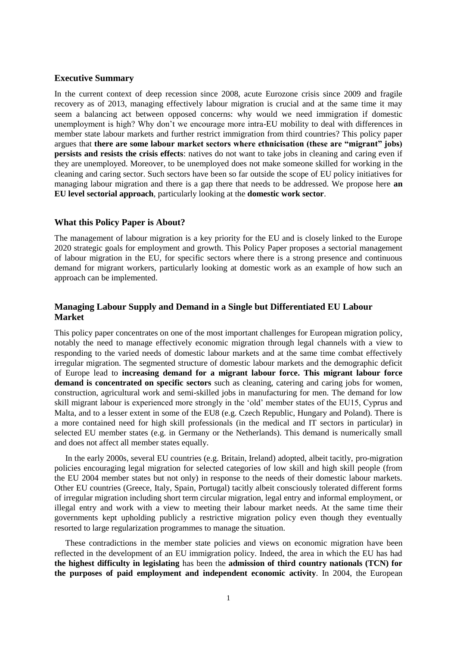#### **Executive Summary**

In the current context of deep recession since 2008, acute Eurozone crisis since 2009 and fragile recovery as of 2013, managing effectively labour migration is crucial and at the same time it may seem a balancing act between opposed concerns: why would we need immigration if domestic unemployment is high? Why don't we encourage more intra-EU mobility to deal with differences in member state labour markets and further restrict immigration from third countries? This policy paper argues that **there are some labour market sectors where ethnicisation (these are "migrant" jobs) persists and resists the crisis effects**: natives do not want to take jobs in cleaning and caring even if they are unemployed. Moreover, to be unemployed does not make someone skilled for working in the cleaning and caring sector. Such sectors have been so far outside the scope of EU policy initiatives for managing labour migration and there is a gap there that needs to be addressed. We propose here **an EU level sectorial approach**, particularly looking at the **domestic work sector**.

#### **What this Policy Paper is About?**

The management of labour migration is a key priority for the EU and is closely linked to the Europe 2020 strategic goals for employment and growth. This Policy Paper proposes a sectorial management of labour migration in the EU, for specific sectors where there is a strong presence and continuous demand for migrant workers, particularly looking at domestic work as an example of how such an approach can be implemented.

# **Managing Labour Supply and Demand in a Single but Differentiated EU Labour Market**

This policy paper concentrates on one of the most important challenges for European migration policy, notably the need to manage effectively economic migration through legal channels with a view to responding to the varied needs of domestic labour markets and at the same time combat effectively irregular migration. The segmented structure of domestic labour markets and the demographic deficit of Europe lead to **increasing demand for a migrant labour force. This migrant labour force demand is concentrated on specific sectors** such as cleaning, catering and caring jobs for women, construction, agricultural work and semi-skilled jobs in manufacturing for men. The demand for low skill migrant labour is experienced more strongly in the 'old' member states of the EU15, Cyprus and Malta, and to a lesser extent in some of the EU8 (e.g. Czech Republic, Hungary and Poland). There is a more contained need for high skill professionals (in the medical and IT sectors in particular) in selected EU member states (e.g. in Germany or the Netherlands). This demand is numerically small and does not affect all member states equally.

In the early 2000s, several EU countries (e.g. Britain, Ireland) adopted, albeit tacitly, pro-migration policies encouraging legal migration for selected categories of low skill and high skill people (from the EU 2004 member states but not only) in response to the needs of their domestic labour markets. Other EU countries (Greece, Italy, Spain, Portugal) tacitly albeit consciously tolerated different forms of irregular migration including short term circular migration, legal entry and informal employment, or illegal entry and work with a view to meeting their labour market needs. At the same time their governments kept upholding publicly a restrictive migration policy even though they eventually resorted to large regularization programmes to manage the situation.

These contradictions in the member state policies and views on economic migration have been reflected in the development of an EU immigration policy. Indeed, the area in which the EU has had **the highest difficulty in legislating** has been the **admission of third country nationals (TCN) for the purposes of paid employment and independent economic activity**. In 2004, the European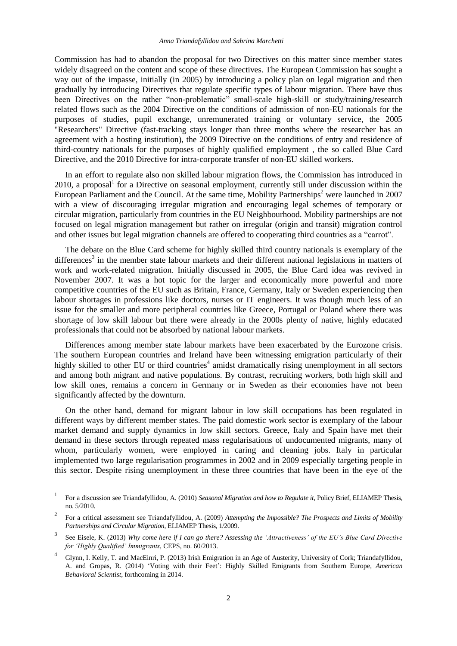Commission has had to abandon the proposal for two Directives on this matter since member states widely disagreed on the content and scope of these directives. The European Commission has sought a way out of the impasse, initially (in 2005) by introducing a policy plan on legal migration and then gradually by introducing Directives that regulate specific types of labour migration. There have thus been Directives on the rather "non-problematic" small-scale high-skill or study/training/research related flows such as the 2004 Directive on the conditions of admission of non-EU nationals for the purposes of studies, pupil exchange, unremunerated training or voluntary service, the 2005 "Researchers" Directive (fast-tracking stays longer than three months where the researcher has an agreement with a hosting institution), the 2009 Directive on the conditions of entry and residence of third-country nationals for the purposes of highly qualified employment , the so called Blue Card Directive, and the 2010 Directive for intra-corporate transfer of non-EU skilled workers.

In an effort to regulate also non skilled labour migration flows, the Commission has introduced in  $2010$ , a proposal<sup>1</sup> for a Directive on seasonal employment, currently still under discussion within the European Parliament and the Council. At the same time, Mobility Partnerships<sup>2</sup> were launched in 2007 with a view of discouraging irregular migration and encouraging legal schemes of temporary or circular migration, particularly from countries in the EU Neighbourhood. Mobility partnerships are not focused on legal migration management but rather on irregular (origin and transit) migration control and other issues but legal migration channels are offered to cooperating third countries as a "carrot".

The debate on the Blue Card scheme for highly skilled third country nationals is exemplary of the differences<sup>3</sup> in the member state labour markets and their different national legislations in matters of work and work-related migration. Initially discussed in 2005, the Blue Card idea was revived in November 2007. It was a hot topic for the larger and economically more powerful and more competitive countries of the EU such as Britain, France, Germany, Italy or Sweden experiencing then labour shortages in professions like doctors, nurses or IT engineers. It was though much less of an issue for the smaller and more peripheral countries like Greece, Portugal or Poland where there was shortage of low skill labour but there were already in the 2000s plenty of native, highly educated professionals that could not be absorbed by national labour markets.

Differences among member state labour markets have been exacerbated by the Eurozone crisis. The southern European countries and Ireland have been witnessing emigration particularly of their highly skilled to other EU or third countries<sup>4</sup> amidst dramatically rising unemployment in all sectors and among both migrant and native populations. By contrast, recruiting workers, both high skill and low skill ones, remains a concern in Germany or in Sweden as their economies have not been significantly affected by the downturn.

On the other hand, demand for migrant labour in low skill occupations has been regulated in different ways by different member states. The paid domestic work sector is exemplary of the labour market demand and supply dynamics in low skill sectors. Greece, Italy and Spain have met their demand in these sectors through repeated mass regularisations of undocumented migrants, many of whom, particularly women, were employed in caring and cleaning jobs. Italy in particular implemented two large regularisation programmes in 2002 and in 2009 especially targeting people in this sector. Despite rising unemployment in these three countries that have been in the eye of the

l

<sup>1</sup> For a discussion see Triandafyllidou, A. (2010) *[Seasonal Migration and how to Regulate it](http://www.eliamep.gr/en/migration/publications-migration/eliamep-thesis-52010-seasonal-migration-and-how-to-regulate-it/)*, Policy Brief, ELIAMEP Thesis, no. 5/2010.

<sup>2</sup> For a critical assessment see Triandafyllidou, A. (2009) *[Attempting the Impossible? The Prospects and Limits of Mobility](http://www.eliamep.gr/en/migration/eliamep-thesis-12009-attempting-the-impossible-the-prospects-and-limits-of-mobility-partnerships-and-circular-migration/)  [Partnerships and Circular Migration](http://www.eliamep.gr/en/migration/eliamep-thesis-12009-attempting-the-impossible-the-prospects-and-limits-of-mobility-partnerships-and-circular-migration/)*, ELIAMEP Thesis, 1/2009.

<sup>3</sup> See Eisele, K. (2013) *Why come here if I can go there? Assessing the 'Attractiveness' of the EU's Blue Card Directive for 'Highly Qualified' Immigrants*, CEPS, no. 60/2013.

<sup>4</sup> Glynn, I. Kelly, T. and MacEinri, P. (2013) [Irish Emigration in an Age of Austerity,](http://www.ucc.ie/en/media/research/emigre/Emigration_in_an_Age_of_Austerity_Final.pdf) University of Cork; Triandafyllidou, A. and Gropas, R. (2014) 'Voting with their Feet': Highly Skilled Emigrants from Southern Europe, *American Behavioral Scientist*, forthcoming in 2014.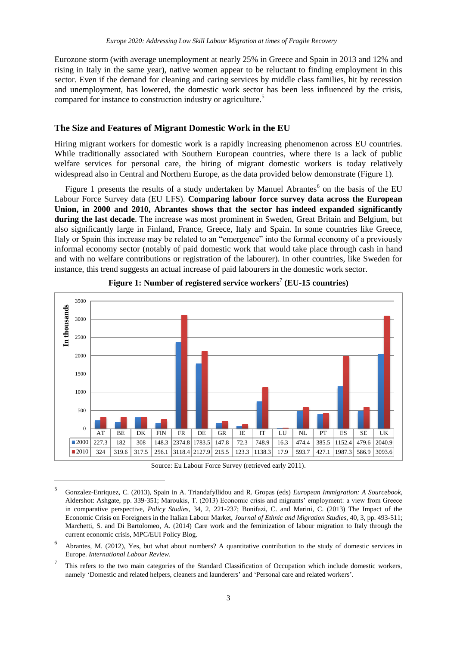Eurozone storm (with average unemployment at nearly 25% in Greece and Spain in 2013 and 12% and rising in Italy in the same year), native women appear to be reluctant to finding employment in this sector. Even if the demand for cleaning and caring services by middle class families, hit by recession and unemployment, has lowered, the domestic work sector has been less influenced by the crisis, compared for instance to construction industry or agriculture.<sup>5</sup>

#### **The Size and Features of Migrant Domestic Work in the EU**

Hiring migrant workers for domestic work is a rapidly increasing phenomenon across EU countries. While traditionally associated with Southern European countries, where there is a lack of public welfare services for personal care, the hiring of migrant domestic workers is today relatively widespread also in Central and Northern Europe, as the data provided below demonstrate (Figure 1).

Figure 1 presents the results of a study undertaken by Manuel Abrantes<sup>6</sup> on the basis of the EU Labour Force Survey data (EU LFS). **Comparing labour force survey data across the European Union, in 2000 and 2010, Abrantes shows that the sector has indeed expanded significantly during the last decade**. The increase was most prominent in Sweden, Great Britain and Belgium, but also significantly large in Finland, France, Greece, Italy and Spain. In some countries like Greece, Italy or Spain this increase may be related to an "emergence" into the formal economy of a previously informal economy sector (notably of paid domestic work that would take place through cash in hand and with no welfare contributions or registration of the labourer). In other countries, like Sweden for instance, this trend suggests an actual increase of paid labourers in the domestic work sector.



**Figure 1: Number of registered service workers**<sup>7</sup> **(EU-15 countries)**

Source: Eu Labour Force Survey (retrieved early 2011).

 $\overline{a}$ 

<sup>5</sup> Gonzalez-Enriquez, C. (2013), Spain in A. Triandafyllidou and R. Gropas (eds) *European Immigration: A Sourcebook*, Aldershot: Ashgate, pp. 339-351; Maroukis, T. (2013) Economic crisis and migrants' employment: a view from Greece in comparative perspective, *Policy Studies*, 34, 2, 221-237; Bonifazi, C. and Marini, C. (2013) The Impact of the Economic Crisis on Foreigners in the Italian Labour Market, *Journal of Ethnic and Migration Studies*, 40, 3, pp. 493-511; Marchetti, S. and Di Bartolomeo, A. (2014) [Care work and the feminization of labour migration to Italy through the](http://blogs.eui.eu/migrationpolicycentre/care-work-and-the-feminization-of-labour-migration-to-italy-through-the-current-economic-crisis/)  [current economic crisis,](http://blogs.eui.eu/migrationpolicycentre/care-work-and-the-feminization-of-labour-migration-to-italy-through-the-current-economic-crisis/) MPC/EUI Policy Blog.

<sup>6</sup> Abrantes, M. (2012), Yes, but what about numbers? A quantitative contribution to the study of domestic services in Europe. *International Labour Review*.

<sup>7</sup> This refers to the two main categories of the Standard Classification of Occupation which include domestic workers, namely 'Domestic and related helpers, cleaners and launderers' and 'Personal care and related workers'.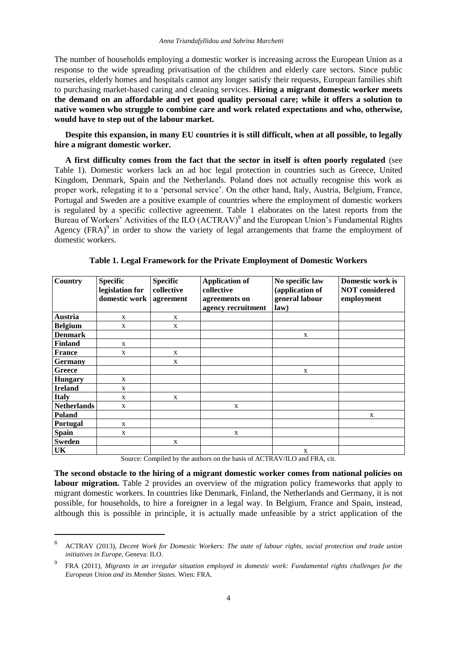The number of households employing a domestic worker is increasing across the European Union as a response to the wide spreading privatisation of the children and elderly care sectors. Since public nurseries, elderly homes and hospitals cannot any longer satisfy their requests, European families shift to purchasing market-based caring and cleaning services. **Hiring a migrant domestic worker meets the demand on an affordable and yet good quality personal care; while it offers a solution to native women who struggle to combine care and work related expectations and who, otherwise, would have to step out of the labour market.**

**Despite this expansion, in many EU countries it is still difficult, when at all possible, to legally hire a migrant domestic worker.** 

**A first difficulty comes from the fact that the sector in itself is often poorly regulated** (see Table 1). Domestic workers lack an ad hoc legal protection in countries such as Greece, United Kingdom, Denmark, Spain and the Netherlands. Poland does not actually recognise this work as proper work, relegating it to a 'personal service'. On the other hand, Italy, Austria, Belgium, France, Portugal and Sweden are a positive example of countries where the employment of domestic workers is regulated by a specific collective agreement. Table 1 elaborates on the latest reports from the Bureau of Workers' Activities of the ILO (ACTRAV)<sup>8</sup> and the European Union's Fundamental Rights Agency  $(FRA)^9$  in order to show the variety of legal arrangements that frame the employment of domestic workers.

| <b>Country</b>     | <b>Specific</b><br>legislation for<br>domestic work | <b>Specific</b><br>collective<br>agreement | <b>Application of</b><br>collective<br>agreements on<br>agency recruitment | No specific law<br>(application of<br>general labour<br>law) | Domestic work is<br><b>NOT</b> considered<br>employment |
|--------------------|-----------------------------------------------------|--------------------------------------------|----------------------------------------------------------------------------|--------------------------------------------------------------|---------------------------------------------------------|
| <b>Austria</b>     | $\mathbf X$                                         | X                                          |                                                                            |                                                              |                                                         |
| <b>Belgium</b>     | X                                                   | X                                          |                                                                            |                                                              |                                                         |
| <b>Denmark</b>     |                                                     |                                            |                                                                            | X                                                            |                                                         |
| <b>Finland</b>     | X                                                   |                                            |                                                                            |                                                              |                                                         |
| <b>France</b>      | X                                                   | X                                          |                                                                            |                                                              |                                                         |
| <b>Germany</b>     |                                                     | X                                          |                                                                            |                                                              |                                                         |
| Greece             |                                                     |                                            |                                                                            | X                                                            |                                                         |
| <b>Hungary</b>     | X                                                   |                                            |                                                                            |                                                              |                                                         |
| <b>Ireland</b>     | X                                                   |                                            |                                                                            |                                                              |                                                         |
| <b>Italy</b>       | X                                                   | X                                          |                                                                            |                                                              |                                                         |
| <b>Netherlands</b> | X                                                   |                                            | X                                                                          |                                                              |                                                         |
| Poland             |                                                     |                                            |                                                                            |                                                              | X                                                       |
| <b>Portugal</b>    | X                                                   |                                            |                                                                            |                                                              |                                                         |
| <b>Spain</b>       | X                                                   |                                            | X                                                                          |                                                              |                                                         |
| <b>Sweden</b>      |                                                     | X                                          |                                                                            |                                                              |                                                         |
| <b>UK</b>          |                                                     |                                            |                                                                            | X                                                            |                                                         |

**Table 1. Legal Framework for the Private Employment of Domestic Workers**

Source: Compiled by the authors on the basis of ACTRAV/ILO and FRA, cit.

**The second obstacle to the hiring of a migrant domestic worker comes from national policies on labour migration.** Table 2 provides an overview of the migration policy frameworks that apply to migrant domestic workers. In countries like Denmark, Finland, the Netherlands and Germany, it is not possible, for households, to hire a foreigner in a legal way. In Belgium, France and Spain, instead, although this is possible in principle, it is actually made unfeasible by a strict application of the

l

<sup>8</sup> ACTRAV (2013), *Decent Work for Domestic Workers: The state of labour rights, social protection and trade union initiatives in Europe*, Geneva: ILO.

<sup>9</sup> FRA (2011), *Migrants in an irregular situation employed in domestic work: Fundamental rights challenges for the European Union and its Member States*. Wien: FRA.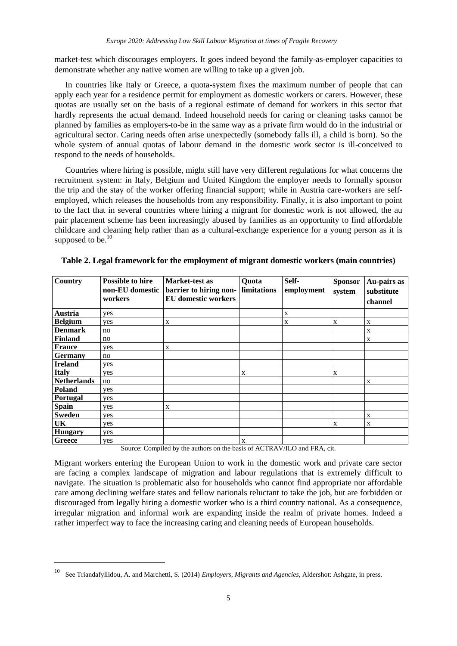market-test which discourages employers. It goes indeed beyond the family-as-employer capacities to demonstrate whether any native women are willing to take up a given job.

In countries like Italy or Greece, a quota-system fixes the maximum number of people that can apply each year for a residence permit for employment as domestic workers or carers. However, these quotas are usually set on the basis of a regional estimate of demand for workers in this sector that hardly represents the actual demand. Indeed household needs for caring or cleaning tasks cannot be planned by families as employers-to-be in the same way as a private firm would do in the industrial or agricultural sector. Caring needs often arise unexpectedly (somebody falls ill, a child is born). So the whole system of annual quotas of labour demand in the domestic work sector is ill-conceived to respond to the needs of households.

Countries where hiring is possible, might still have very different regulations for what concerns the recruitment system: in Italy, Belgium and United Kingdom the employer needs to formally sponsor the trip and the stay of the worker offering financial support; while in Austria care-workers are selfemployed, which releases the households from any responsibility. Finally, it is also important to point to the fact that in several countries where hiring a migrant for domestic work is not allowed, the au pair placement scheme has been increasingly abused by families as an opportunity to find affordable childcare and cleaning help rather than as a cultural-exchange experience for a young person as it is supposed to be. $10$ 

| <b>Country</b>     | <b>Possible to hire</b><br>non-EU domestic | Market-test as<br>barrier to hiring non-                                           | Quota<br>limitations | Self-<br>employment     | <b>Sponsor</b><br>system | Au-pairs as<br>substitute |
|--------------------|--------------------------------------------|------------------------------------------------------------------------------------|----------------------|-------------------------|--------------------------|---------------------------|
|                    | workers                                    | <b>EU</b> domestic workers                                                         |                      |                         |                          | channel                   |
| Austria            | yes                                        |                                                                                    |                      | X                       |                          |                           |
| <b>Belgium</b>     | yes                                        | X                                                                                  |                      | X                       | X                        | X                         |
| <b>Denmark</b>     | no                                         |                                                                                    |                      |                         |                          | X                         |
| <b>Finland</b>     | no                                         |                                                                                    |                      |                         |                          | X                         |
| France             | yes                                        | X                                                                                  |                      |                         |                          |                           |
| <b>Germany</b>     | no                                         |                                                                                    |                      |                         |                          |                           |
| <b>Ireland</b>     | yes                                        |                                                                                    |                      |                         |                          |                           |
| <b>Italy</b>       | yes                                        |                                                                                    | X                    |                         | X                        |                           |
| <b>Netherlands</b> | no                                         |                                                                                    |                      |                         |                          | X                         |
| Poland             | yes                                        |                                                                                    |                      |                         |                          |                           |
| Portugal           | yes                                        |                                                                                    |                      |                         |                          |                           |
| Spain              | yes                                        | X                                                                                  |                      |                         |                          |                           |
| <b>Sweden</b>      | yes                                        |                                                                                    |                      |                         |                          | X                         |
| UK                 | yes                                        |                                                                                    |                      |                         | X                        | X                         |
| <b>Hungary</b>     | yes                                        |                                                                                    |                      |                         |                          |                           |
| Greece             | yes<br>$\sim$                              | $\mathbf{A}$ and $\mathbf{A}$ and $\mathbf{A}$<br><b>PER TELEVISION CONTINUES.</b> | X                    | C A GED A M H C 1 E D A |                          |                           |

**Table 2. Legal framework for the employment of migrant domestic workers (main countries)**

Source: Compiled by the authors on the basis of ACTRAV/ILO and FRA, cit.

Migrant workers entering the European Union to work in the domestic work and private care sector are facing a complex landscape of migration and labour regulations that is extremely difficult to navigate. The situation is problematic also for households who cannot find appropriate nor affordable care among declining welfare states and fellow nationals reluctant to take the job, but are forbidden or discouraged from legally hiring a domestic worker who is a third country national. As a consequence, irregular migration and informal work are expanding inside the realm of private homes. Indeed a rather imperfect way to face the increasing caring and cleaning needs of European households.

l

<sup>10</sup> See Triandafyllidou, A. and Marchetti, S. (2014) *Employers, Migrants and Agencies*, Aldershot: Ashgate, in press.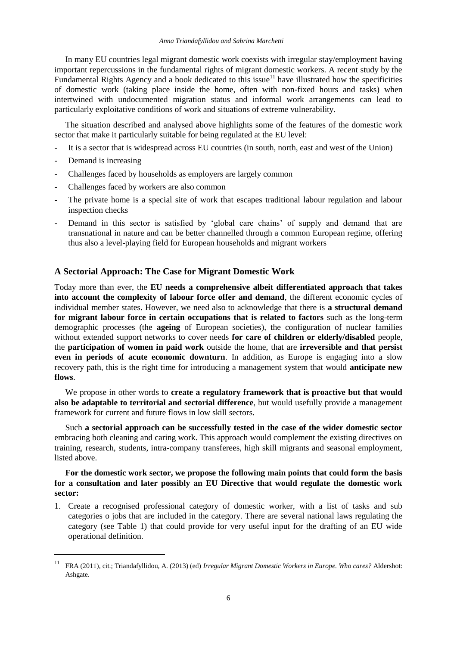In many EU countries legal migrant domestic work coexists with irregular stay/employment having important repercussions in the fundamental rights of migrant domestic workers. A recent study by the Fundamental Rights Agency and a book dedicated to this issue<sup>11</sup> have illustrated how the specificities of domestic work (taking place inside the home, often with non-fixed hours and tasks) when intertwined with undocumented migration status and informal work arrangements can lead to particularly exploitative conditions of work and situations of extreme vulnerability.

The situation described and analysed above highlights some of the features of the domestic work sector that make it particularly suitable for being regulated at the EU level:

- It is a sector that is widespread across EU countries (in south, north, east and west of the Union)
- Demand is increasing

 $\overline{\phantom{a}}$ 

- Challenges faced by households as employers are largely common
- Challenges faced by workers are also common
- The private home is a special site of work that escapes traditional labour regulation and labour inspection checks
- Demand in this sector is satisfied by 'global care chains' of supply and demand that are transnational in nature and can be better channelled through a common European regime, offering thus also a level-playing field for European households and migrant workers

### **A Sectorial Approach: The Case for Migrant Domestic Work**

Today more than ever, the **EU needs a comprehensive albeit differentiated approach that takes into account the complexity of labour force offer and demand**, the different economic cycles of individual member states. However, we need also to acknowledge that there is **a structural demand for migrant labour force in certain occupations that is related to factors** such as the long-term demographic processes (the **ageing** of European societies), the configuration of nuclear families without extended support networks to cover needs **for care of children or elderly/disabled** people, the **participation of women in paid work** outside the home, that are **irreversible and that persist even in periods of acute economic downturn**. In addition, as Europe is engaging into a slow recovery path, this is the right time for introducing a management system that would **anticipate new flows**.

We propose in other words to **create a regulatory framework that is proactive but that would also be adaptable to territorial and sectorial difference**, but would usefully provide a management framework for current and future flows in low skill sectors.

Such **a sectorial approach can be successfully tested in the case of the wider domestic sector** embracing both cleaning and caring work. This approach would complement the existing directives on training, research, students, intra-company transferees, high skill migrants and seasonal employment, listed above.

#### **For the domestic work sector, we propose the following main points that could form the basis for a consultation and later possibly an EU Directive that would regulate the domestic work sector:**

1. Create a recognised professional category of domestic worker, with a list of tasks and sub categories o jobs that are included in the category. There are several national laws regulating the category (see Table 1) that could provide for very useful input for the drafting of an EU wide operational definition.

<sup>11</sup> FRA (2011), cit.; Triandafyllidou, A. (2013) (ed) *Irregular Migrant Domestic Workers in Europe. Who cares?* Aldershot: Ashgate.